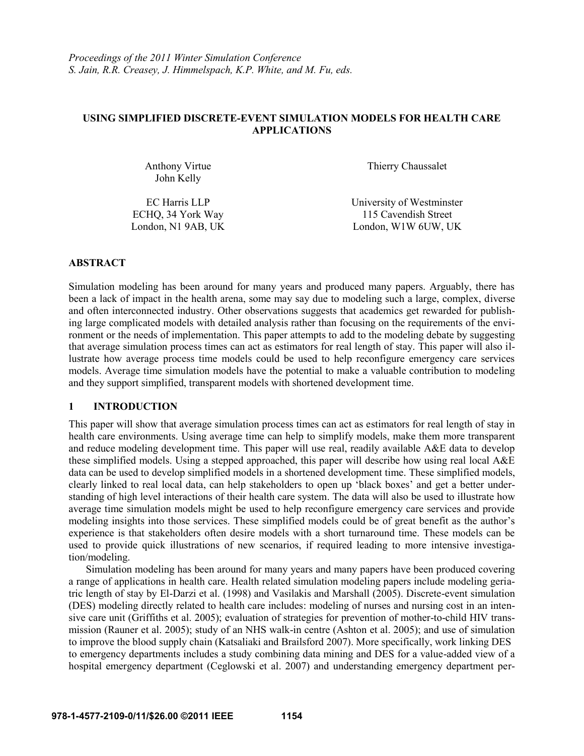## **USING SIMPLIFIED DISCRETE-EVENT SIMULATION MODELS FOR HEALTH CARE APPLICATIONS**

John Kelly

Anthony Virtue Thierry Chaussalet

EC Harris LLP University of Westminster ECHQ, 34 York Way 115 Cavendish Street London, N1 9AB, UK London, W1W 6UW, UK

# **ABSTRACT**

Simulation modeling has been around for many years and produced many papers. Arguably, there has been a lack of impact in the health arena, some may say due to modeling such a large, complex, diverse and often interconnected industry. Other observations suggests that academics get rewarded for publishing large complicated models with detailed analysis rather than focusing on the requirements of the environment or the needs of implementation. This paper attempts to add to the modeling debate by suggesting that average simulation process times can act as estimators for real length of stay. This paper will also illustrate how average process time models could be used to help reconfigure emergency care services models. Average time simulation models have the potential to make a valuable contribution to modeling and they support simplified, transparent models with shortened development time.

## **1 INTRODUCTION**

This paper will show that average simulation process times can act as estimators for real length of stay in health care environments. Using average time can help to simplify models, make them more transparent and reduce modeling development time. This paper will use real, readily available A&E data to develop these simplified models. Using a stepped approached, this paper will describe how using real local A&E data can be used to develop simplified models in a shortened development time. These simplified models, clearly linked to real local data, can help stakeholders to open up "black boxes" and get a better understanding of high level interactions of their health care system. The data will also be used to illustrate how average time simulation models might be used to help reconfigure emergency care services and provide modeling insights into those services. These simplified models could be of great benefit as the author"s experience is that stakeholders often desire models with a short turnaround time. These models can be used to provide quick illustrations of new scenarios, if required leading to more intensive investigation/modeling.

Simulation modeling has been around for many years and many papers have been produced covering a range of applications in health care. Health related simulation modeling papers include modeling geriatric length of stay by El-Darzi et al. (1998) and Vasilakis and Marshall (2005). Discrete-event simulation (DES) modeling directly related to health care includes: modeling of nurses and nursing cost in an intensive care unit (Griffiths et al. 2005); evaluation of strategies for prevention of mother-to-child HIV transmission (Rauner et al. 2005); study of an NHS walk-in centre (Ashton et al. 2005); and use of simulation to improve the blood supply chain (Katsaliaki and Brailsford 2007). More specifically, work linking DES to emergency departments includes a study combining data mining and DES for a value-added view of a hospital emergency department (Ceglowski et al. 2007) and understanding emergency department per-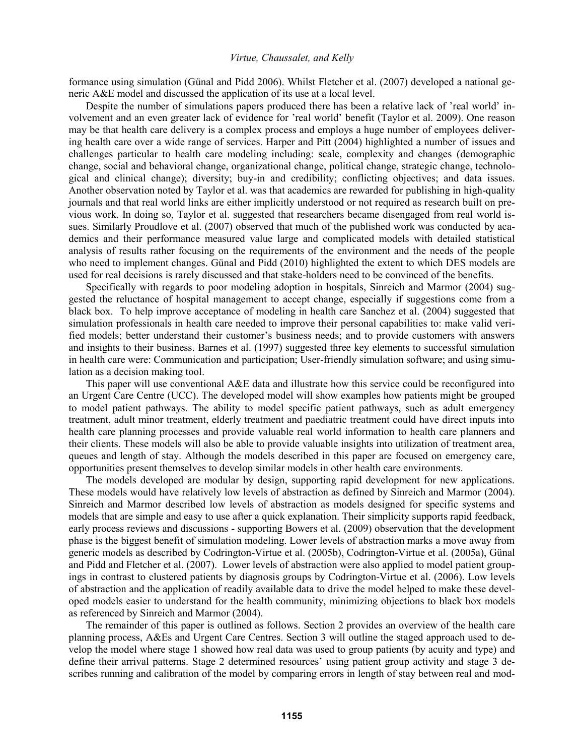formance using simulation (Günal and Pidd 2006). Whilst Fletcher et al. (2007) developed a national generic A&E model and discussed the application of its use at a local level.

Despite the number of simulations papers produced there has been a relative lack of 'real world' involvement and an even greater lack of evidence for "real world" benefit (Taylor et al. 2009). One reason may be that health care delivery is a complex process and employs a huge number of employees delivering health care over a wide range of services. Harper and Pitt (2004) highlighted a number of issues and challenges particular to health care modeling including: scale, complexity and changes (demographic change, social and behavioral change, organizational change, political change, strategic change, technological and clinical change); diversity; buy-in and credibility; conflicting objectives; and data issues. Another observation noted by Taylor et al. was that academics are rewarded for publishing in high-quality journals and that real world links are either implicitly understood or not required as research built on previous work. In doing so, Taylor et al. suggested that researchers became disengaged from real world issues. Similarly Proudlove et al. (2007) observed that much of the published work was conducted by academics and their performance measured value large and complicated models with detailed statistical analysis of results rather focusing on the requirements of the environment and the needs of the people who need to implement changes. Günal and Pidd (2010) highlighted the extent to which DES models are used for real decisions is rarely discussed and that stake-holders need to be convinced of the benefits.

Specifically with regards to poor modeling adoption in hospitals, Sinreich and Marmor (2004) suggested the reluctance of hospital management to accept change, especially if suggestions come from a black box. To help improve acceptance of modeling in health care Sanchez et al. (2004) suggested that simulation professionals in health care needed to improve their personal capabilities to: make valid verified models; better understand their customer"s business needs; and to provide customers with answers and insights to their business. Barnes et al. (1997) suggested three key elements to successful simulation in health care were: Communication and participation; User-friendly simulation software; and using simulation as a decision making tool.

This paper will use conventional A&E data and illustrate how this service could be reconfigured into an Urgent Care Centre (UCC). The developed model will show examples how patients might be grouped to model patient pathways. The ability to model specific patient pathways, such as adult emergency treatment, adult minor treatment, elderly treatment and paediatric treatment could have direct inputs into health care planning processes and provide valuable real world information to health care planners and their clients. These models will also be able to provide valuable insights into utilization of treatment area, queues and length of stay. Although the models described in this paper are focused on emergency care, opportunities present themselves to develop similar models in other health care environments.

The models developed are modular by design, supporting rapid development for new applications. These models would have relatively low levels of abstraction as defined by Sinreich and Marmor (2004). Sinreich and Marmor described low levels of abstraction as models designed for specific systems and models that are simple and easy to use after a quick explanation. Their simplicity supports rapid feedback, early process reviews and discussions - supporting Bowers et al. (2009) observation that the development phase is the biggest benefit of simulation modeling. Lower levels of abstraction marks a move away from generic models as described by Codrington-Virtue et al. (2005b), Codrington-Virtue et al. (2005a), Günal and Pidd and Fletcher et al. (2007). Lower levels of abstraction were also applied to model patient groupings in contrast to clustered patients by diagnosis groups by Codrington-Virtue et al. (2006). Low levels of abstraction and the application of readily available data to drive the model helped to make these developed models easier to understand for the health community, minimizing objections to black box models as referenced by Sinreich and Marmor (2004).

The remainder of this paper is outlined as follows. Section 2 provides an overview of the health care planning process, A&Es and Urgent Care Centres. Section 3 will outline the staged approach used to develop the model where stage 1 showed how real data was used to group patients (by acuity and type) and define their arrival patterns. Stage 2 determined resources' using patient group activity and stage 3 describes running and calibration of the model by comparing errors in length of stay between real and mod-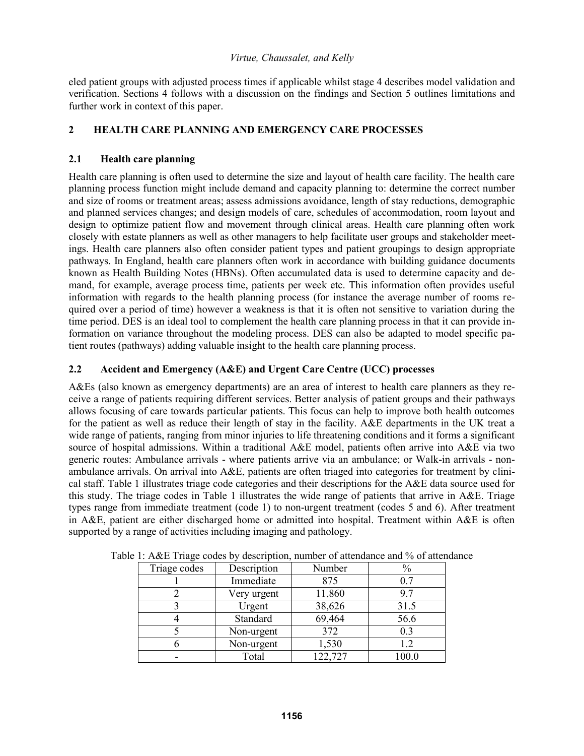eled patient groups with adjusted process times if applicable whilst stage 4 describes model validation and verification. Sections 4 follows with a discussion on the findings and Section 5 outlines limitations and further work in context of this paper.

# **2 HEALTH CARE PLANNING AND EMERGENCY CARE PROCESSES**

## **2.1 Health care planning**

Health care planning is often used to determine the size and layout of health care facility. The health care planning process function might include demand and capacity planning to: determine the correct number and size of rooms or treatment areas; assess admissions avoidance, length of stay reductions, demographic and planned services changes; and design models of care, schedules of accommodation, room layout and design to optimize patient flow and movement through clinical areas. Health care planning often work closely with estate planners as well as other managers to help facilitate user groups and stakeholder meetings. Health care planners also often consider patient types and patient groupings to design appropriate pathways. In England, health care planners often work in accordance with building guidance documents known as Health Building Notes (HBNs). Often accumulated data is used to determine capacity and demand, for example, average process time, patients per week etc. This information often provides useful information with regards to the health planning process (for instance the average number of rooms required over a period of time) however a weakness is that it is often not sensitive to variation during the time period. DES is an ideal tool to complement the health care planning process in that it can provide information on variance throughout the modeling process. DES can also be adapted to model specific patient routes (pathways) adding valuable insight to the health care planning process.

# **2.2 Accident and Emergency (A&E) and Urgent Care Centre (UCC) processes**

A&Es (also known as emergency departments) are an area of interest to health care planners as they receive a range of patients requiring different services. Better analysis of patient groups and their pathways allows focusing of care towards particular patients. This focus can help to improve both health outcomes for the patient as well as reduce their length of stay in the facility. A&E departments in the UK treat a wide range of patients, ranging from minor injuries to life threatening conditions and it forms a significant source of hospital admissions. Within a traditional A&E model, patients often arrive into A&E via two generic routes: Ambulance arrivals - where patients arrive via an ambulance; or Walk-in arrivals - nonambulance arrivals. On arrival into A&E, patients are often triaged into categories for treatment by clinical staff. Table 1 illustrates triage code categories and their descriptions for the A&E data source used for this study. The triage codes in Table 1 illustrates the wide range of patients that arrive in A&E. Triage types range from immediate treatment (code 1) to non-urgent treatment (codes 5 and 6). After treatment in A&E, patient are either discharged home or admitted into hospital. Treatment within A&E is often supported by a range of activities including imaging and pathology.

| Triage codes | Description | Number  | $\frac{0}{0}$ |
|--------------|-------------|---------|---------------|
|              | Immediate   | 875     | 0.7           |
|              | Very urgent | 11,860  | 9.7           |
|              | Urgent      | 38,626  | 31.5          |
|              | Standard    | 69,464  | 56.6          |
|              | Non-urgent  | 372     | 0.3           |
|              | Non-urgent  | 1,530   | 1.2           |
|              | Total       | 122,727 | 100.0         |

Table 1: A&E Triage codes by description, number of attendance and % of attendance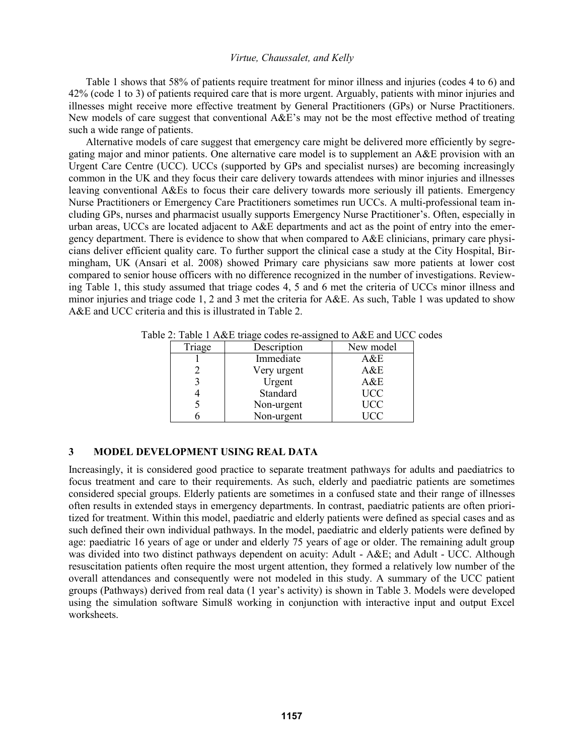Table 1 shows that 58% of patients require treatment for minor illness and injuries (codes 4 to 6) and 42% (code 1 to 3) of patients required care that is more urgent. Arguably, patients with minor injuries and illnesses might receive more effective treatment by General Practitioners (GPs) or Nurse Practitioners. New models of care suggest that conventional A&E's may not be the most effective method of treating such a wide range of patients.

Alternative models of care suggest that emergency care might be delivered more efficiently by segregating major and minor patients. One alternative care model is to supplement an A&E provision with an Urgent Care Centre (UCC). UCCs (supported by GPs and specialist nurses) are becoming increasingly common in the UK and they focus their care delivery towards attendees with minor injuries and illnesses leaving conventional A&Es to focus their care delivery towards more seriously ill patients. Emergency Nurse Practitioners or Emergency Care Practitioners sometimes run UCCs. A multi-professional team including GPs, nurses and pharmacist usually supports Emergency Nurse Practitioner"s. Often, especially in urban areas, UCCs are located adjacent to A&E departments and act as the point of entry into the emergency department. There is evidence to show that when compared to A&E clinicians, primary care physicians deliver efficient quality care. To further support the clinical case a study at the City Hospital, Birmingham, UK (Ansari et al. 2008) showed Primary care physicians saw more patients at lower cost compared to senior house officers with no difference recognized in the number of investigations. Reviewing Table 1, this study assumed that triage codes 4, 5 and 6 met the criteria of UCCs minor illness and minor injuries and triage code 1, 2 and 3 met the criteria for A&E. As such, Table 1 was updated to show A&E and UCC criteria and this is illustrated in Table 2.

| Triage | Description | New model  |
|--------|-------------|------------|
|        | Immediate   | A&E        |
|        | Very urgent | A&E        |
|        | Urgent      | A&E        |
|        | Standard    | <b>UCC</b> |
|        | Non-urgent  | <b>UCC</b> |
|        | Non-urgent  | LICC       |

Table 2: Table 1 A&E triage codes re-assigned to A&E and UCC codes

## **3 MODEL DEVELOPMENT USING REAL DATA**

Increasingly, it is considered good practice to separate treatment pathways for adults and paediatrics to focus treatment and care to their requirements. As such, elderly and paediatric patients are sometimes considered special groups. Elderly patients are sometimes in a confused state and their range of illnesses often results in extended stays in emergency departments. In contrast, paediatric patients are often prioritized for treatment. Within this model, paediatric and elderly patients were defined as special cases and as such defined their own individual pathways. In the model, paediatric and elderly patients were defined by age: paediatric 16 years of age or under and elderly 75 years of age or older. The remaining adult group was divided into two distinct pathways dependent on acuity: Adult - A&E; and Adult - UCC. Although resuscitation patients often require the most urgent attention, they formed a relatively low number of the overall attendances and consequently were not modeled in this study. A summary of the UCC patient groups (Pathways) derived from real data (1 year"s activity) is shown in Table 3. Models were developed using the simulation software Simul8 working in conjunction with interactive input and output Excel worksheets.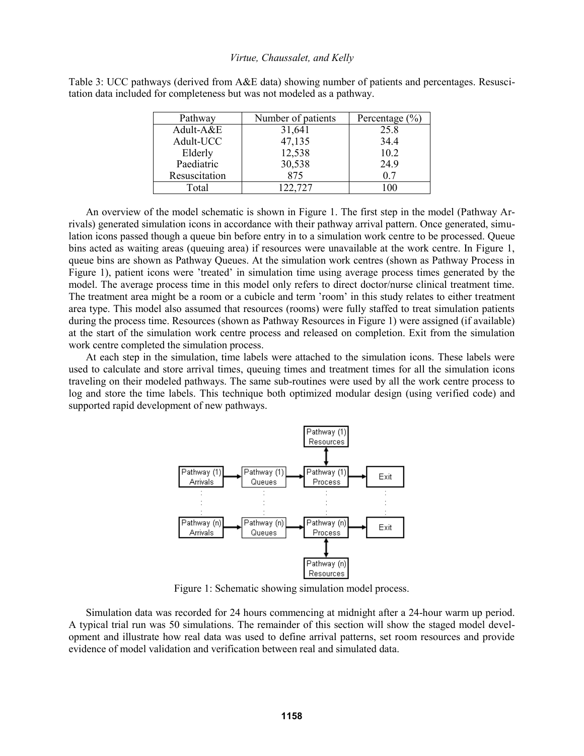| Pathway       | Number of patients | Percentage $(\% )$ |
|---------------|--------------------|--------------------|
| Adult-A&E     | 31,641             | 25.8               |
| Adult-UCC     | 47,135             | 34.4               |
| Elderly       | 12,538             | 10.2               |
| Paediatric    | 30,538             | 24.9               |
| Resuscitation | 875                | 0 <sub>1</sub>     |
| Total         | 122,727            | 10C                |

Table 3: UCC pathways (derived from A&E data) showing number of patients and percentages. Resuscitation data included for completeness but was not modeled as a pathway.

An overview of the model schematic is shown in Figure 1. The first step in the model (Pathway Arrivals) generated simulation icons in accordance with their pathway arrival pattern. Once generated, simulation icons passed though a queue bin before entry in to a simulation work centre to be processed. Queue bins acted as waiting areas (queuing area) if resources were unavailable at the work centre. In Figure 1, queue bins are shown as Pathway Queues. At the simulation work centres (shown as Pathway Process in Figure 1), patient icons were 'treated' in simulation time using average process times generated by the model. The average process time in this model only refers to direct doctor/nurse clinical treatment time. The treatment area might be a room or a cubicle and term "room" in this study relates to either treatment area type. This model also assumed that resources (rooms) were fully staffed to treat simulation patients during the process time. Resources (shown as Pathway Resources in Figure 1) were assigned (if available) at the start of the simulation work centre process and released on completion. Exit from the simulation work centre completed the simulation process.

At each step in the simulation, time labels were attached to the simulation icons. These labels were used to calculate and store arrival times, queuing times and treatment times for all the simulation icons traveling on their modeled pathways. The same sub-routines were used by all the work centre process to log and store the time labels. This technique both optimized modular design (using verified code) and supported rapid development of new pathways.



Figure 1: Schematic showing simulation model process.

Simulation data was recorded for 24 hours commencing at midnight after a 24-hour warm up period. A typical trial run was 50 simulations. The remainder of this section will show the staged model development and illustrate how real data was used to define arrival patterns, set room resources and provide evidence of model validation and verification between real and simulated data.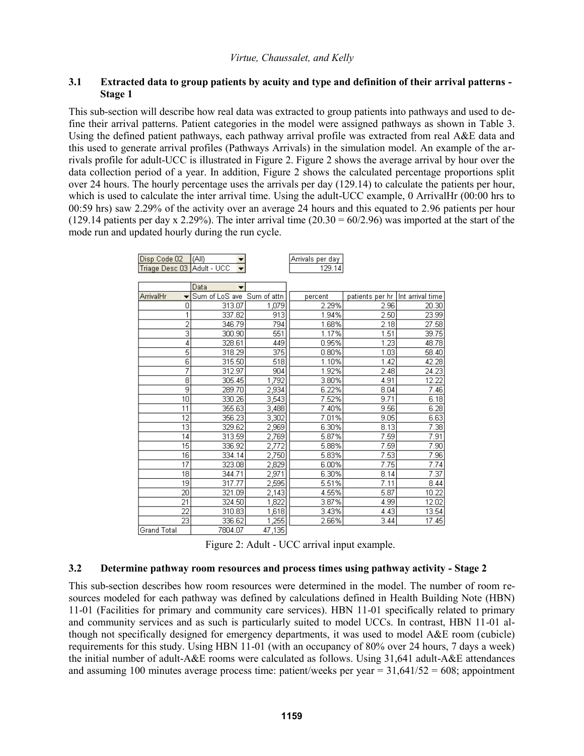## **3.1 Extracted data to group patients by acuity and type and definition of their arrival patterns - Stage 1**

This sub-section will describe how real data was extracted to group patients into pathways and used to define their arrival patterns. Patient categories in the model were assigned pathways as shown in Table 3. Using the defined patient pathways, each pathway arrival profile was extracted from real A&E data and this used to generate arrival profiles (Pathways Arrivals) in the simulation model. An example of the arrivals profile for adult-UCC is illustrated in Figure 2. Figure 2 shows the average arrival by hour over the data collection period of a year. In addition, Figure 2 shows the calculated percentage proportions split over 24 hours. The hourly percentage uses the arrivals per day (129.14) to calculate the patients per hour, which is used to calculate the inter arrival time. Using the adult-UCC example, 0 ArrivalHr (00:00 hrs to 00:59 hrs) saw 2.29% of the activity over an average 24 hours and this equated to 2.96 patients per hour (129.14 patients per day x 2.29%). The inter arrival time  $(20.30 = 60/2.96)$  was imported at the start of the mode run and updated hourly during the run cycle.

| Disp Code 02               | (AII)                            |             | Arrivals per daγ |                 |                  |
|----------------------------|----------------------------------|-------------|------------------|-----------------|------------------|
| Triage Desc 03 Adult - UCC |                                  |             | 129.14           |                 |                  |
|                            |                                  |             |                  |                 |                  |
|                            | Data<br>$\overline{\phantom{a}}$ |             |                  |                 |                  |
| ArrivalHr                  | Sum of LoS ave                   | Sum of attn | percent          | patients per hr | Int arrival time |
| 0                          | 313.07                           | 1,079       | 2.29%            | 2.96            | 20.30            |
| 1                          | 337.82                           | 913         | 1.94%            | 2.50            | 23.99            |
| $\overline{2}$             | 346.79                           | 794         | 1.68%            | 2.18            | 27.58            |
| $\overline{\overline{3}}$  | 300.90                           | 551         | 1.17%            | 1.51            | 39.75            |
| 4                          | 328.61                           | 449         | 0.95%            | 1.23            | 48.78            |
| 5                          | 318.29                           | 375         | 0.80%            | 1.03            | 58.40            |
| $\overline{6}$             | 315.50                           | 518         | 1.10%            | 1.42            | 42.28            |
| 7                          | 312.97                           | 904         | 1.92%            | 2.48            | 24.23            |
| 8                          | 305.45                           | 1,792       | 3.80%            | 4.91            | 12.22            |
| 9                          | 289.70                           | 2,934       | 6.22%            | 8.04            | 7.46             |
| 10                         | 330.26                           | 3,543       | 7.52%            | 9.71            | 6.18             |
| 11                         | 355.63                           | 3,488       | 7.40%            | 9.56            | 6.28             |
| $\overline{12}$            | 356.23                           | 3,302       | 7.01%            | 9.05            | 6.63             |
| 13                         | 329.62                           | 2,969       | 6.30%            | 8.13            | 7.38             |
| 14                         | 313.59                           | 2,769       | 5.87%            | 7.59            | 7.91             |
| 15                         | 336.92                           | 2,772       | 5.88%            | 7.59            | 7.90             |
| 16                         | 334.14                           | 2,750       | 5.83%            | 7.53            | 7.96             |
| 17                         | 323.08                           | 2,829       | 6.00%            | 7.75            | 7.74             |
| 18                         | 344.71                           | 2,971       | 6.30%            | 8.14            | 7.37             |
| 19                         | 317.77                           | 2,595       | 5.51%            | 7.11            | 8.44             |
| 20                         | 321.09                           | 2,143       | 4.55%            | 5.87            | 10.22            |
| $\overline{21}$            | 324.50                           | 1,822       | 3.87%            | 4.99            | 12.02            |
| $\overline{22}$            | 310.83                           | 1,618       | 3.43%            | 4.43            | 13.54            |
| $\overline{23}$            | 336.62                           | 1,255       | 2.66%            | 3.44            | 17.45            |
| <b>Grand Total</b>         | 7804.07                          | 47,135      |                  |                 |                  |

Figure 2: Adult - UCC arrival input example.

### **3.2 Determine pathway room resources and process times using pathway activity - Stage 2**

This sub-section describes how room resources were determined in the model. The number of room resources modeled for each pathway was defined by calculations defined in Health Building Note (HBN) 11-01 (Facilities for primary and community care services). HBN 11-01 specifically related to primary and community services and as such is particularly suited to model UCCs. In contrast, HBN 11-01 although not specifically designed for emergency departments, it was used to model A&E room (cubicle) requirements for this study. Using HBN 11-01 (with an occupancy of 80% over 24 hours, 7 days a week) the initial number of adult-A&E rooms were calculated as follows. Using 31,641 adult-A&E attendances and assuming 100 minutes average process time: patient/weeks per year =  $31,641/52 = 608$ ; appointment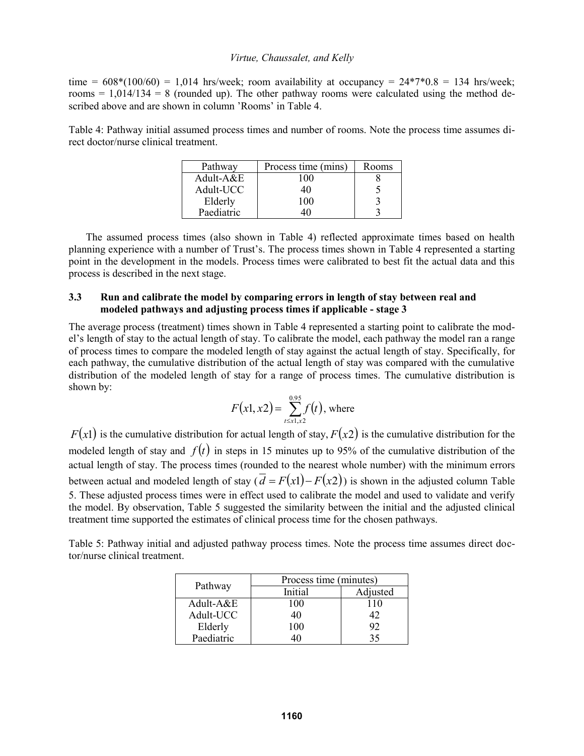time =  $608*(100/60) = 1,014$  hrs/week; room availability at occupancy =  $24*7*0.8 = 134$  hrs/week; rooms  $= 1.014/134 = 8$  (rounded up). The other pathway rooms were calculated using the method described above and are shown in column 'Rooms' in Table 4.

Table 4: Pathway initial assumed process times and number of rooms. Note the process time assumes direct doctor/nurse clinical treatment.

| Pathway    | Process time (mins) | Rooms |
|------------|---------------------|-------|
| Adult-A&E  | 00                  |       |
| Adult-UCC  | 40                  |       |
| Elderly    | 100                 |       |
| Paediatric |                     |       |

The assumed process times (also shown in Table 4) reflected approximate times based on health planning experience with a number of Trust"s. The process times shown in Table 4 represented a starting point in the development in the models. Process times were calibrated to best fit the actual data and this process is described in the next stage.

## **3.3 Run and calibrate the model by comparing errors in length of stay between real and modeled pathways and adjusting process times if applicable - stage 3**

The average process (treatment) times shown in Table 4 represented a starting point to calibrate the model"s length of stay to the actual length of stay. To calibrate the model, each pathway the model ran a range of process times to compare the modeled length of stay against the actual length of stay. Specifically, for each pathway, the cumulative distribution of the actual length of stay was compared with the cumulative distribution of the modeled length of stay for a range of process times. The cumulative distribution is shown by:

$$
F(x1, x2) = \sum_{t \le x1, x2}^{0.95} f(t)
$$
, where

 $F(x)$  is the cumulative distribution for actual length of stay,  $F(x)$  is the cumulative distribution for the modeled length of stay and  $f(t)$  in steps in 15 minutes up to 95% of the cumulative distribution of the actual length of stay. The process times (rounded to the nearest whole number) with the minimum errors between actual and modeled length of stay  $(d = F(x1) - F(x2))$  is shown in the adjusted column Table 5. These adjusted process times were in effect used to calibrate the model and used to validate and verify the model. By observation, Table 5 suggested the similarity between the initial and the adjusted clinical treatment time supported the estimates of clinical process time for the chosen pathways.

Table 5: Pathway initial and adjusted pathway process times. Note the process time assumes direct doctor/nurse clinical treatment.

| Pathway    | Process time (minutes) |          |  |  |
|------------|------------------------|----------|--|--|
|            | Initial                | Adjusted |  |  |
| Adult-A&E  | 100                    | 110      |  |  |
| Adult-UCC  | 40                     | 42       |  |  |
| Elderly    | 100                    | 92       |  |  |
| Paediatric |                        | 35       |  |  |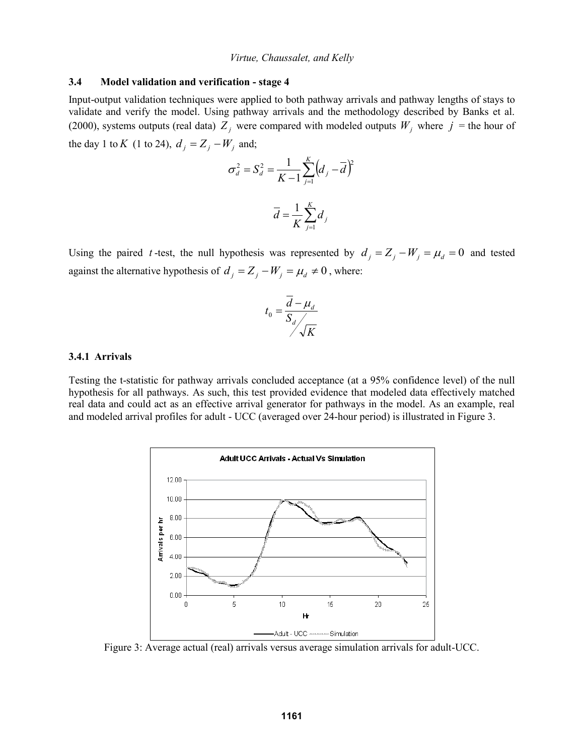### **3.4 Model validation and verification - stage 4**

Input-output validation techniques were applied to both pathway arrivals and pathway lengths of stays to validate and verify the model. Using pathway arrivals and the methodology described by Banks et al. (2000), systems outputs (real data)  $Z_j$  were compared with modeled outputs  $W_j$  where  $j =$  the hour of the day 1 to *K* (1 to 24),  $d_j = Z_j - W_j$  and;

$$
\sigma_d^2 = S_d^2 = \frac{1}{K - 1} \sum_{j=1}^K (d_j - \overline{d})^2
$$
  
= 1 K

$$
\overline{d} = \frac{1}{K} \sum_{j=1}^{K} d_j
$$

Using the paired t-test, the null hypothesis was represented by  $d_j = Z_j - W_j = \mu_d = 0$  and tested against the alternative hypothesis of  $d_j = Z_j - W_j = \mu_d \neq 0$ , where:

$$
t_0 = \frac{\overline{d} - \mu_d}{S_d \sqrt{\overline{K}}}
$$

### **3.4.1 Arrivals**

Testing the t-statistic for pathway arrivals concluded acceptance (at a 95% confidence level) of the null hypothesis for all pathways. As such, this test provided evidence that modeled data effectively matched real data and could act as an effective arrival generator for pathways in the model. As an example, real and modeled arrival profiles for adult - UCC (averaged over 24-hour period) is illustrated in Figure 3.



Figure 3: Average actual (real) arrivals versus average simulation arrivals for adult-UCC.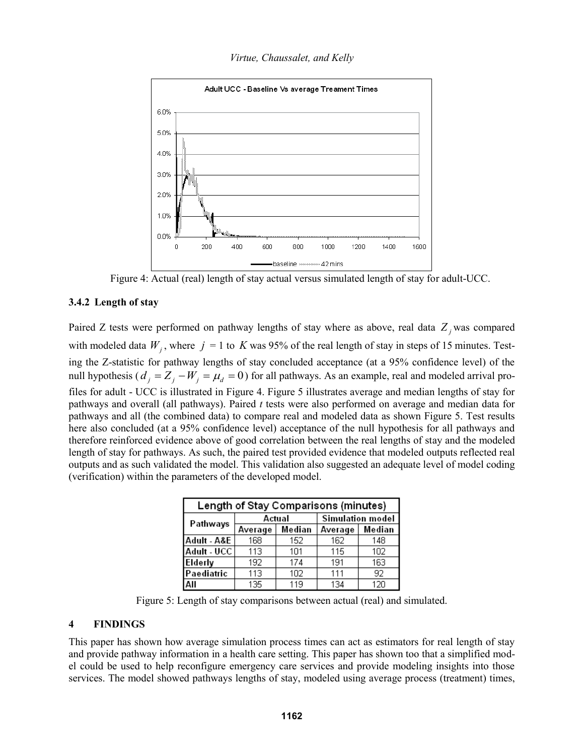*Virtue, Chaussalet, and Kelly*



Figure 4: Actual (real) length of stay actual versus simulated length of stay for adult-UCC.

# **3.4.2 Length of stay**

Paired Z tests were performed on pathway lengths of stay where as above, real data  $Z_j$  was compared with modeled data  $W_j$ , where  $j = 1$  to K was 95% of the real length of stay in steps of 15 minutes. Testing the Z-statistic for pathway lengths of stay concluded acceptance (at a 95% confidence level) of the null hypothesis ( $d_j = Z_j - W_j = \mu_d = 0$ ) for all pathways. As an example, real and modeled arrival profiles for adult - UCC is illustrated in Figure 4. Figure 5 illustrates average and median lengths of stay for pathways and overall (all pathways). Paired *t* tests were also performed on average and median data for pathways and all (the combined data) to compare real and modeled data as shown Figure 5. Test results here also concluded (at a 95% confidence level) acceptance of the null hypothesis for all pathways and therefore reinforced evidence above of good correlation between the real lengths of stay and the modeled length of stay for pathways. As such, the paired test provided evidence that modeled outputs reflected real outputs and as such validated the model. This validation also suggested an adequate level of model coding (verification) within the parameters of the developed model.

| Length of Stay Comparisons (minutes) |         |        |                         |        |  |
|--------------------------------------|---------|--------|-------------------------|--------|--|
| Pathways                             | Actual  |        | <b>Simulation model</b> |        |  |
|                                      | Average | Median | Average                 | Median |  |
| Adult - A&E                          | 168     | 152    | 162                     | 148    |  |
| Adult - UCC                          | 113     | 101    | 115                     | 102    |  |
| Elderly                              | 192     | 174    | 191                     | 163    |  |
| Paediatric                           | 113     | 102    | 111                     | 92     |  |
| All                                  | 135     | 119    | 134                     | 120    |  |

Figure 5: Length of stay comparisons between actual (real) and simulated.

# **4 FINDINGS**

This paper has shown how average simulation process times can act as estimators for real length of stay and provide pathway information in a health care setting. This paper has shown too that a simplified model could be used to help reconfigure emergency care services and provide modeling insights into those services. The model showed pathways lengths of stay, modeled using average process (treatment) times,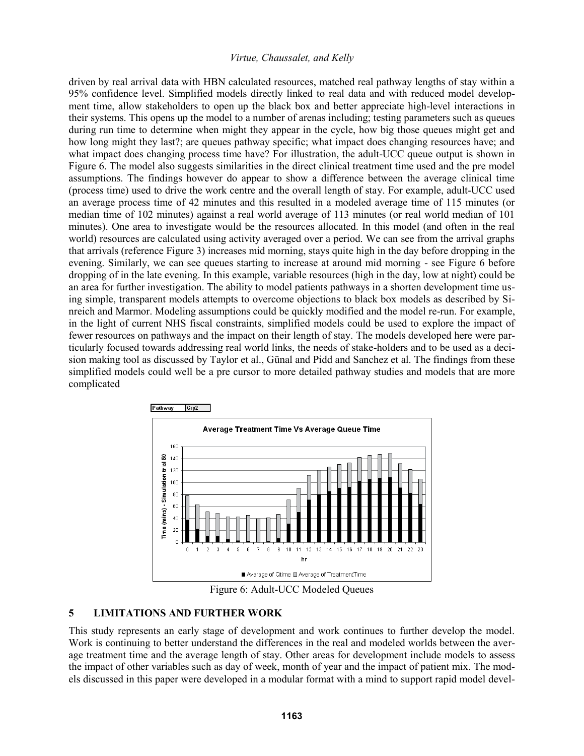driven by real arrival data with HBN calculated resources, matched real pathway lengths of stay within a 95% confidence level. Simplified models directly linked to real data and with reduced model development time, allow stakeholders to open up the black box and better appreciate high-level interactions in their systems. This opens up the model to a number of arenas including; testing parameters such as queues during run time to determine when might they appear in the cycle, how big those queues might get and how long might they last?; are queues pathway specific; what impact does changing resources have; and what impact does changing process time have? For illustration, the adult-UCC queue output is shown in Figure 6. The model also suggests similarities in the direct clinical treatment time used and the pre model assumptions. The findings however do appear to show a difference between the average clinical time (process time) used to drive the work centre and the overall length of stay. For example, adult-UCC used an average process time of 42 minutes and this resulted in a modeled average time of 115 minutes (or median time of 102 minutes) against a real world average of 113 minutes (or real world median of 101 minutes). One area to investigate would be the resources allocated. In this model (and often in the real world) resources are calculated using activity averaged over a period. We can see from the arrival graphs that arrivals (reference Figure 3) increases mid morning, stays quite high in the day before dropping in the evening. Similarly, we can see queues starting to increase at around mid morning - see Figure 6 before dropping of in the late evening. In this example, variable resources (high in the day, low at night) could be an area for further investigation. The ability to model patients pathways in a shorten development time using simple, transparent models attempts to overcome objections to black box models as described by Sinreich and Marmor. Modeling assumptions could be quickly modified and the model re-run. For example, in the light of current NHS fiscal constraints, simplified models could be used to explore the impact of fewer resources on pathways and the impact on their length of stay. The models developed here were particularly focused towards addressing real world links, the needs of stake-holders and to be used as a decision making tool as discussed by Taylor et al., Günal and Pidd and Sanchez et al. The findings from these simplified models could well be a pre cursor to more detailed pathway studies and models that are more complicated



Figure 6: Adult-UCC Modeled Queues

## **5 LIMITATIONS AND FURTHER WORK**

This study represents an early stage of development and work continues to further develop the model. Work is continuing to better understand the differences in the real and modeled worlds between the average treatment time and the average length of stay. Other areas for development include models to assess the impact of other variables such as day of week, month of year and the impact of patient mix. The models discussed in this paper were developed in a modular format with a mind to support rapid model devel-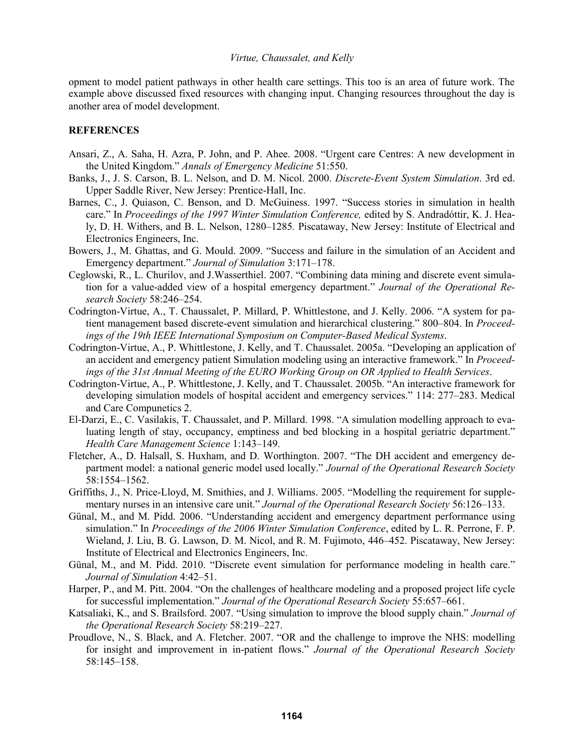opment to model patient pathways in other health care settings. This too is an area of future work. The example above discussed fixed resources with changing input. Changing resources throughout the day is another area of model development.

### **REFERENCES**

- Ansari, Z., A. Saha, H. Azra, P. John, and P. Ahee. 2008. "Urgent care Centres: A new development in the United Kingdom." *Annals of Emergency Medicine* 51:550.
- Banks, J., J. S. Carson, B. L. Nelson, and D. M. Nicol. 2000. *Discrete-Event System Simulation*. 3rd ed. Upper Saddle River, New Jersey: Prentice-Hall, Inc.
- Barnes, C., J. Quiason, C. Benson, and D. McGuiness. 1997. "Success stories in simulation in health care." In *Proceedings of the 1997 Winter Simulation Conference,* edited by S. Andradóttir, K. J. Healy, D. H. Withers, and B. L. Nelson, 1280–1285*.* Piscataway, New Jersey: Institute of Electrical and Electronics Engineers, Inc.
- Bowers, J., M. Ghattas, and G. Mould. 2009. "Success and failure in the simulation of an Accident and Emergency department." *Journal of Simulation* 3:171–178.
- Ceglowski, R., L. Churilov, and J.Wasserthiel. 2007. "Combining data mining and discrete event simulation for a value-added view of a hospital emergency department." *Journal of the Operational Research Society* 58:246–254.
- Codrington-Virtue, A., T. Chaussalet, P. Millard, P. Whittlestone, and J. Kelly. 2006. "A system for patient management based discrete-event simulation and hierarchical clustering." 800–804. In *Proceedings of the 19th IEEE International Symposium on Computer-Based Medical Systems*.
- Codrington-Virtue, A., P. Whittlestone, J. Kelly, and T. Chaussalet. 2005a. "Developing an application of an accident and emergency patient Simulation modeling using an interactive framework." In *Proceedings of the 31st Annual Meeting of the EURO Working Group on OR Applied to Health Services*.
- Codrington-Virtue, A., P. Whittlestone, J. Kelly, and T. Chaussalet. 2005b. "An interactive framework for developing simulation models of hospital accident and emergency services." 114: 277–283. Medical and Care Compunetics 2.
- El-Darzi, E., C. Vasilakis, T. Chaussalet, and P. Millard. 1998. "A simulation modelling approach to evaluating length of stay, occupancy, emptiness and bed blocking in a hospital geriatric department." *Health Care Management Science* 1:143–149.
- Fletcher, A., D. Halsall, S. Huxham, and D. Worthington. 2007. "The DH accident and emergency department model: a national generic model used locally." *Journal of the Operational Research Society* 58:1554–1562.
- Griffiths, J., N. Price-Lloyd, M. Smithies, and J. Williams. 2005. "Modelling the requirement for supplementary nurses in an intensive care unit." *Journal of the Operational Research Society* 56:126–133.
- Günal, M., and M. Pidd. 2006. "Understanding accident and emergency department performance using simulation." In *Proceedings of the 2006 Winter Simulation Conference*, edited by L. R. Perrone, F. P. Wieland, J. Liu, B. G. Lawson, D. M. Nicol, and R. M. Fujimoto, 446–452. Piscataway, New Jersey: Institute of Electrical and Electronics Engineers, Inc.
- Günal, M., and M. Pidd. 2010. "Discrete event simulation for performance modeling in health care." *Journal of Simulation* 4:42–51.
- Harper, P., and M. Pitt. 2004. "On the challenges of healthcare modeling and a proposed project life cycle for successful implementation." *Journal of the Operational Research Society* 55:657–661.
- Katsaliaki, K., and S. Brailsford. 2007. "Using simulation to improve the blood supply chain." *Journal of the Operational Research Society* 58:219–227.
- Proudlove, N., S. Black, and A. Fletcher. 2007. "OR and the challenge to improve the NHS: modelling for insight and improvement in in-patient flows." *Journal of the Operational Research Society* 58:145–158.